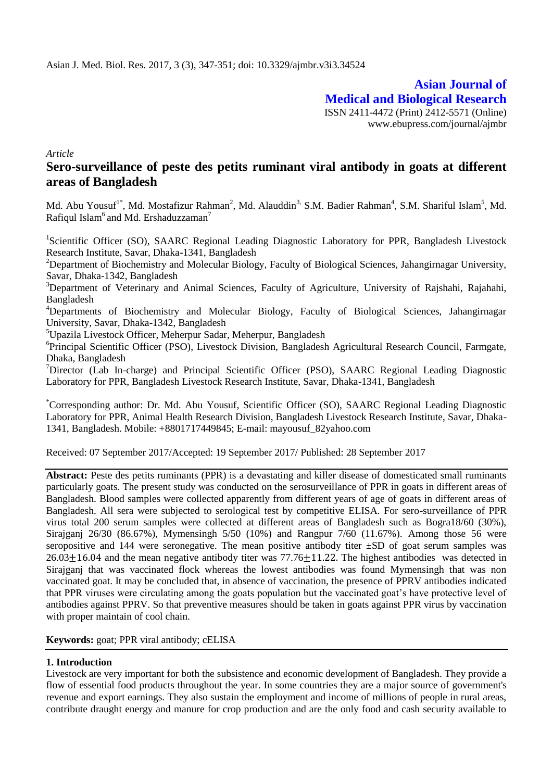**Asian Journal of Medical and Biological Research** ISSN 2411-4472 (Print) 2412-5571 (Online) www.ebupress.com/journal/ajmbr

*Article*

# **Sero-surveillance of peste des petits ruminant viral antibody in goats at different areas of Bangladesh**

Md. Abu Yousuf<sup>1\*</sup>, Md. Mostafizur Rahman<sup>2</sup>, Md. Alauddin<sup>3,</sup> S.M. Badier Rahman<sup>4</sup>, S.M. Shariful Islam<sup>5</sup>, Md. Rafiqul Islam<sup>6</sup> and Md. Ershaduzzaman<sup>7</sup>

<sup>1</sup>Scientific Officer (SO), SAARC Regional Leading Diagnostic Laboratory for PPR, Bangladesh Livestock Research Institute, Savar, Dhaka-1341, Bangladesh

<sup>2</sup>Department of Biochemistry and Molecular Biology, Faculty of Biological Sciences, Jahangirnagar University, Savar, Dhaka-1342, Bangladesh

<sup>3</sup>Department of Veterinary and Animal Sciences, Faculty of Agriculture, University of Rajshahi, Rajahahi, Bangladesh

<sup>4</sup>Departments of Biochemistry and Molecular Biology, Faculty of Biological Sciences, Jahangirnagar University, Savar, Dhaka-1342, Bangladesh

<sup>5</sup>Upazila Livestock Officer, Meherpur Sadar, Meherpur, Bangladesh

<sup>6</sup>Principal Scientific Officer (PSO), Livestock Division, Bangladesh Agricultural Research Council, Farmgate, Dhaka, Bangladesh

<sup>7</sup>Director (Lab In-charge) and Principal Scientific Officer (PSO), SAARC Regional Leading Diagnostic Laboratory for PPR, Bangladesh Livestock Research Institute, Savar, Dhaka-1341, Bangladesh

\*Corresponding author: Dr. Md. Abu Yousuf, Scientific Officer (SO), SAARC Regional Leading Diagnostic Laboratory for PPR, Animal Health Research Division, Bangladesh Livestock Research Institute, Savar, Dhaka-1341, Bangladesh. Mobile: +8801717449845; E-mail: mayousuf\_82yahoo.com

Received: 07 September 2017/Accepted: 19 September 2017/ Published: 28 September 2017

**Abstract:** Peste des petits ruminants (PPR) is a devastating and killer disease of domesticated small ruminants particularly goats. The present study was conducted on the serosurveillance of PPR in goats in different areas of Bangladesh. Blood samples were collected apparently from different years of age of goats in different areas of Bangladesh. All sera were subjected to serological test by competitive ELISA. For sero-surveillance of PPR virus total 200 serum samples were collected at different areas of Bangladesh such as Bogra18/60 (30%), Sirajganj 26/30 (86.67%), Mymensingh 5/50 (10%) and Rangpur 7/60 (11.67%). Among those 56 were seropositive and 144 were seronegative. The mean positive antibody titer  $\pm SD$  of goat serum samples was  $26.03 \pm 16.04$  and the mean negative antibody titer was  $77.76 \pm 11.22$ . The highest antibodies was detected in Sirajganj that was vaccinated flock whereas the lowest antibodies was found Mymensingh that was non vaccinated goat. It may be concluded that, in absence of vaccination, the presence of PPRV antibodies indicated that PPR viruses were circulating among the goats population but the vaccinated goat's have protective level of antibodies against PPRV. So that preventive measures should be taken in goats against PPR virus by vaccination with proper maintain of cool chain.

**Keywords:** goat; PPR viral antibody; cELISA

### **1. Introduction**

Livestock are very important for both the subsistence and economic development of Bangladesh. They provide a flow of essential food products throughout the year. In some countries they are a major source of government's revenue and export earnings. They also sustain the employment and income of millions of people in rural areas, contribute draught energy and manure for crop production and are the only food and cash security available to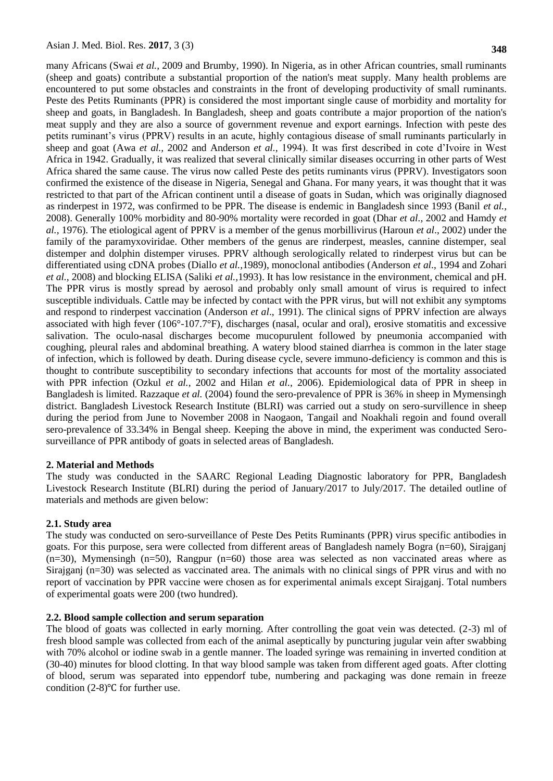many Africans (Swai *et al.,* 2009 and Brumby, 1990). In Nigeria, as in other African countries, small ruminants (sheep and goats) contribute a substantial proportion of the nation's meat supply. Many health problems are encountered to put some obstacles and constraints in the front of developing productivity of small ruminants. Peste des Petits Ruminants (PPR) is considered the most important single cause of morbidity and mortality for sheep and goats, in Bangladesh. In Bangladesh, sheep and goats contribute a major proportion of the nation's meat supply and they are also a source of government revenue and export earnings. Infection with peste des petits ruminant's virus (PPRV) results in an acute, highly contagious disease of small ruminants particularly in sheep and goat (Awa *et al.,* 2002 and Anderson *et al.,* 1994). It was first described in cote d'Ivoire in West Africa in 1942. Gradually, it was realized that several clinically similar diseases occurring in other parts of West Africa shared the same cause. The virus now called Peste des petits ruminants virus (PPRV). Investigators soon confirmed the existence of the disease in Nigeria, Senegal and Ghana. For many years, it was thought that it was restricted to that part of the African continent until a disease of goats in Sudan, which was originally diagnosed as rinderpest in 1972, was confirmed to be PPR. The disease is endemic in Bangladesh since 1993 (Banil *et al.,*  2008). Generally 100% morbidity and 80-90% mortality were recorded in goat (Dhar *et al.,* 2002 and Hamdy *et al.,* 1976). The etiological agent of PPRV is a member of the genus morbillivirus (Haroun *et al*., 2002) under the family of the paramyxoviridae. Other members of the genus are rinderpest, measles, cannine distemper, seal distemper and dolphin distemper viruses. PPRV although serologically related to rinderpest virus but can be differentiated using cDNA probes (Diallo *et al.,*1989), monoclonal antibodies (Anderson *et al*., 1994 and Zohari *et al.,* 2008) and blocking ELISA (Saliki *et al.,*1993). It has low resistance in the environment, chemical and pH. The PPR virus is mostly spread by aerosol and probably only small amount of virus is required to infect susceptible individuals. Cattle may be infected by contact with the PPR virus, but will not exhibit any symptoms and respond to rinderpest vaccination (Anderson *et al*., 1991). The clinical signs of PPRV infection are always associated with high fever (106°-107.7°F), discharges (nasal, ocular and oral), erosive stomatitis and excessive salivation. The oculo-nasal discharges become mucopurulent followed by pneumonia accompanied with coughing, pleural rales and abdominal breathing. A watery blood stained diarrhea is common in the later stage of infection, which is followed by death. During disease cycle, severe immuno-deficiency is common and this is thought to contribute susceptibility to secondary infections that accounts for most of the mortality associated with PPR infection (Ozkul *et al.,* 2002 and Hilan *et al.,* 2006). Epidemiological data of PPR in sheep in Bangladesh is limited. Razzaque *et al.* (2004) found the sero-prevalence of PPR is 36% in sheep in Mymensingh district. Bangladesh Livestock Research Institute (BLRI) was carried out a study on sero-survillence in sheep during the period from June to November 2008 in Naogaon, Tangail and Noakhali regoin and found overall sero-prevalence of 33.34% in Bengal sheep. Keeping the above in mind, the experiment was conducted Serosurveillance of PPR antibody of goats in selected areas of Bangladesh.

#### **2. Material and Methods**

The study was conducted in the SAARC Regional Leading Diagnostic laboratory for PPR, Bangladesh Livestock Research Institute (BLRI) during the period of January/2017 to July/2017. The detailed outline of materials and methods are given below:

#### **2.1. Study area**

The study was conducted on sero-surveillance of Peste Des Petits Ruminants (PPR) virus specific antibodies in goats. For this purpose, sera were collected from different areas of Bangladesh namely Bogra (n=60), Sirajganj  $(n=30)$ , Mymensingh  $(n=50)$ , Rangpur  $(n=60)$  those area was selected as non vaccinated areas where as Sirajganj (n=30) was selected as vaccinated area. The animals with no clinical sings of PPR virus and with no report of vaccination by PPR vaccine were chosen as for experimental animals except Sirajganj. Total numbers of experimental goats were 200 (two hundred).

### **2.2. Blood sample collection and serum separation**

The blood of goats was collected in early morning. After controlling the goat vein was detected. (2-3) ml of fresh blood sample was collected from each of the animal aseptically by puncturing jugular vein after swabbing with 70% alcohol or iodine swab in a gentle manner. The loaded syringe was remaining in inverted condition at (30-40) minutes for blood clotting. In that way blood sample was taken from different aged goats. After clotting of blood, serum was separated into eppendorf tube, numbering and packaging was done remain in freeze condition  $(2-8)$ <sup>o</sup>C for further use.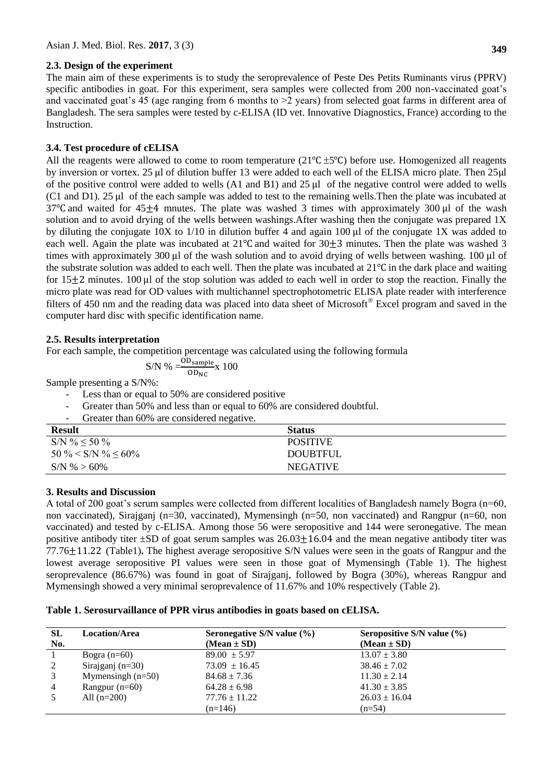### **2.3. Design of the experiment**

The main aim of these experiments is to study the seroprevalence of Peste Des Petits Ruminants virus (PPRV) specific antibodies in goat. For this experiment, sera samples were collected from 200 non-vaccinated goat's and vaccinated goat's 45 (age ranging from 6 months to  $>2$  years) from selected goat farms in different area of Bangladesh. The sera samples were tested by c-ELISA (ID vet. Innovative Diagnostics, France) according to the Instruction.

## **3.4. Test procedure of cELISA**

All the reagents were allowed to come to room temperature ( $21^{\circ}C \pm 5^{\circ}C$ ) before use. Homogenized all reagents by inversion or vortex. 25 µl of dilution buffer 13 were added to each well of the ELISA micro plate. Then 25µl of the positive control were added to wells  $(A1 \text{ and } B1)$  and  $25 \mu$  of the negative control were added to wells (C1 and D1). 25  $\mu$  of the each sample was added to test to the remaining wells. Then the plate was incubated at 37 °C and waited for  $45\pm4$  mnutes. The plate was washed 3 times with approximately 300  $\mu$ l of the wash solution and to avoid drying of the wells between washings.After washing then the conjugate was prepared 1X by diluting the conjugate  $10X$  to  $1/10$  in dilution buffer 4 and again 100  $\mu$  of the conjugate 1X was added to each well. Again the plate was incubated at  $21^{\circ}$ C and waited for  $30\pm3$  minutes. Then the plate was washed 3 times with approximately 300  $\mu$  of the wash solution and to avoid drying of wells between washing. 100  $\mu$  of the substrate solution was added to each well. Then the plate was incubated at  $21^{\circ}$ C in the dark place and waiting for  $15+2$  minutes. 100 µ of the stop solution was added to each well in order to stop the reaction. Finally the micro plate was read for OD values with multichannel spectrophotometric ELISA plate reader with interference filters of 450 nm and the reading data was placed into data sheet of Microsoft<sup>®</sup> Excel program and saved in the computer hard disc with specific identification name.

### **2.5. Results interpretation**

For each sample, the competition percentage was calculated using the following formula

$$
S/N \% = \frac{OD_{sample}}{OD_{NC}} \times 100
$$

Sample presenting a S/N%:

- Less than or equal to 50% are considered positive
- Greater than 50% and less than or equal to 60% are considered doubtful.
- Greater than 60% are considered negative.

| <b>Result</b>            | <b>Status</b>   |
|--------------------------|-----------------|
| $S/N$ % $\leq 50$ %      | <b>POSITIVE</b> |
| $50\% < S/N \% \le 60\%$ | <b>DOUBTFUL</b> |
| $S/N$ % > 60%            | <b>NEGATIVE</b> |

# **3. Results and Discussion**

A total of 200 goat's serum samples were collected from different localities of Bangladesh namely Bogra (n=60, non vaccinated), Sirajganj (n=30, vaccinated), Mymensingh (n=50, non vaccinated) and Rangpur (n=60, non vaccinated) and tested by c-ELISA. Among those 56 were seropositive and 144 were seronegative. The mean positive antibody titer  $\pm$ SD of goat serum samples was 26.03 $\pm$ 16.04 and the mean negative antibody titer was 77.76 $\pm$ 11.22 (Table1). The highest average seropositive S/N values were seen in the goats of Rangpur and the lowest average seropositive PI values were seen in those goat of Mymensingh (Table 1). The highest seroprevalence (86.67%) was found in goat of Sirajganj, followed by Bogra (30%), whereas Rangpur and Mymensingh showed a very minimal seroprevalence of 11.67% and 10% respectively (Table 2).

### **Table 1. Serosurvaillance of PPR virus antibodies in goats based on cELISA.**

| <b>SL</b>      | <b>Location/Area</b> | Seronegative S/N value $(\% )$ | Seropositive S/N value $(\% )$ |
|----------------|----------------------|--------------------------------|--------------------------------|
| No.            |                      | $(Mean \pm SD)$                | $(Mean \pm SD)$                |
|                | Bogra $(n=60)$       | $89.00 \pm 5.97$               | $13.07 \pm 3.80$               |
|                | Sirajganj $(n=30)$   | $73.09 \pm 16.45$              | $38.46 \pm 7.02$               |
|                | Mymensingh $(n=50)$  | $84.68 \pm 7.36$               | $11.30 \pm 2.14$               |
| $\overline{4}$ | Rangpur $(n=60)$     | $64.28 \pm 6.98$               | $41.30 \pm 3.85$               |
|                | All $(n=200)$        | $77.76 \pm 11.22$              | $26.03 \pm 16.04$              |
|                |                      | $(n=146)$                      | $(n=54)$                       |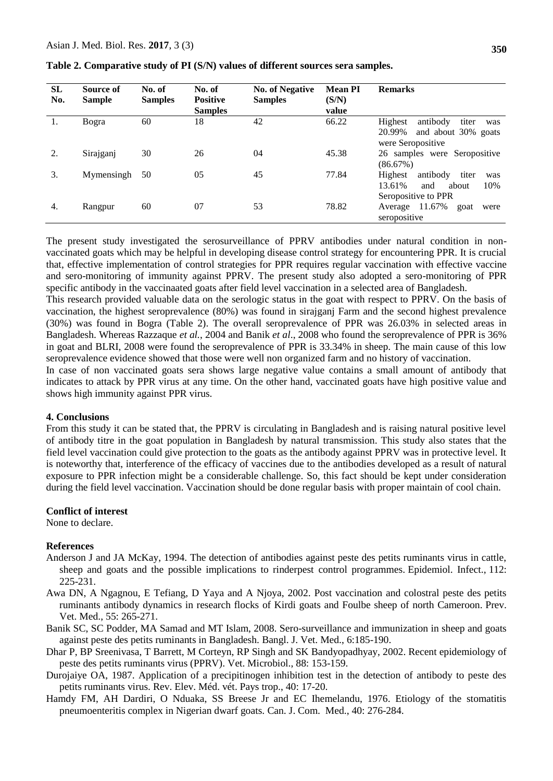| SL<br>No. | Source of<br><b>Sample</b> | No. of<br><b>Samples</b> | No. of<br><b>Positive</b><br><b>Samples</b> | <b>No. of Negative</b><br><b>Samples</b> | <b>Mean PI</b><br>(S/N)<br>value | <b>Remarks</b>                                                                              |
|-----------|----------------------------|--------------------------|---------------------------------------------|------------------------------------------|----------------------------------|---------------------------------------------------------------------------------------------|
| 1.        | Bogra                      | 60                       | 18                                          | 42                                       | 66.22                            | Highest<br>antibody<br>titer<br>was<br>20.99%<br>and about 30% goats<br>were Seropositive   |
|           | Sirajganj                  | 30                       | 26                                          | 04                                       | 45.38                            | 26 samples were Seropositive<br>(86.67%)                                                    |
| 3.        | Mymensingh                 | 50                       | 05                                          | 45                                       | 77.84                            | Highest<br>titer<br>antibody<br>was<br>10%<br>13.61%<br>about<br>and<br>Seropositive to PPR |
| 4.        | Rangpur                    | 60                       | 07                                          | 53                                       | 78.82                            | Average $11.67\%$<br>goat<br>were<br>seropositive                                           |

**Table 2. Comparative study of PI (S/N) values of different sources sera samples.**

The present study investigated the serosurveillance of PPRV antibodies under natural condition in nonvaccinated goats which may be helpful in developing disease control strategy for encountering PPR. It is crucial that, effective implementation of control strategies for PPR requires regular vaccination with effective vaccine and sero-monitoring of immunity against PPRV. The present study also adopted a sero-monitoring of PPR specific antibody in the vaccinaated goats after field level vaccination in a selected area of Bangladesh.

This research provided valuable data on the serologic status in the goat with respect to PPRV. On the basis of vaccination, the highest seroprevalence (80%) was found in sirajganj Farm and the second highest prevalence (30%) was found in Bogra (Table 2). The overall seroprevalence of PPR was 26.03% in selected areas in Bangladesh. Whereas Razzaque *et al.*, 2004 and Banik *et al*., 2008 who found the seroprevalence of PPR is 36% in goat and BLRI, 2008 were found the seroprevalence of PPR is 33.34% in sheep. The main cause of this low seroprevalence evidence showed that those were well non organized farm and no history of vaccination.

In case of non vaccinated goats sera shows large negative value contains a small amount of antibody that indicates to attack by PPR virus at any time. On the other hand, vaccinated goats have high positive value and shows high immunity against PPR virus.

#### **4. Conclusions**

From this study it can be stated that, the PPRV is circulating in Bangladesh and is raising natural positive level of antibody titre in the goat population in Bangladesh by natural transmission. This study also states that the field level vaccination could give protection to the goats as the antibody against PPRV was in protective level. It is noteworthy that, interference of the efficacy of vaccines due to the antibodies developed as a result of natural exposure to PPR infection might be a considerable challenge. So, this fact should be kept under consideration during the field level vaccination. Vaccination should be done regular basis with proper maintain of cool chain.

#### **Conflict of interest**

None to declare.

#### **References**

- Anderson J and JA McKay, 1994. The detection of antibodies against peste des petits ruminants virus in cattle, sheep and goats and the possible implications to rinderpest control programmes. Epidemiol. Infect., 112: 225-231.
- Awa DN, A Ngagnou, E Tefiang, D Yaya and A Njoya, 2002. Post vaccination and colostral peste des petits ruminants antibody dynamics in research flocks of Kirdi goats and Foulbe sheep of north Cameroon. Prev. Vet. Med., 55: 265-271.
- Banik SC, SC Podder, MA Samad and MT Islam, 2008. Sero-surveillance and immunization in sheep and goats against peste des petits ruminants in Bangladesh. Bangl. J. Vet. Med., 6:185-190.
- Dhar P, BP Sreenivasa, T Barrett, M Corteyn, RP Singh and SK Bandyopadhyay, 2002. Recent epidemiology of peste des petits ruminants virus (PPRV). Vet. Microbiol., 88: 153-159.
- Durojaiye OA, 1987. Application of a precipitinogen inhibition test in the detection of antibody to peste des petits ruminants virus. Rev. Elev. Méd. vét. Pays trop., 40: 17-20.
- Hamdy FM, AH Dardiri, O Nduaka, SS Breese Jr and EC Ihemelandu, 1976. Etiology of the stomatitis pneumoenteritis complex in Nigerian dwarf goats. Can. J. Com. Med., 40: 276-284.